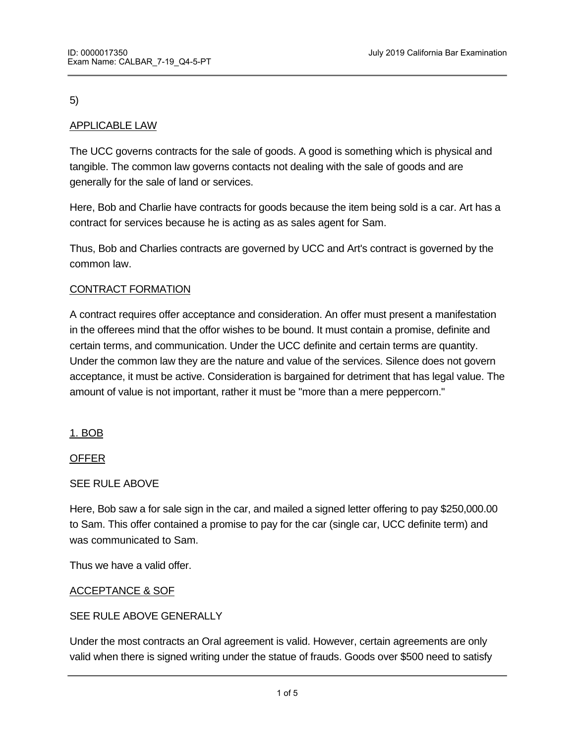# 5)

# APPLICABLE LAW

The UCC governs contracts for the sale of goods. A good is something which is physical and tangible. The common law governs contacts not dealing with the sale of goods and are generally for the sale of land or services.

Here, Bob and Charlie have contracts for goods because the item being sold is a car. Art has a contract for services because he is acting as as sales agent for Sam.

Thus, Bob and Charlies contracts are governed by UCC and Art's contract is governed by the common law.

# CONTRACT FORMATION

A contract requires offer acceptance and consideration. An offer must present a manifestation in the offerees mind that the offor wishes to be bound. It must contain a promise, definite and certain terms, and communication. Under the UCC definite and certain terms are quantity. Under the common law they are the nature and value of the services. Silence does not govern acceptance, it must be active. Consideration is bargained for detriment that has legal value. The amount of value is not important, rather it must be "more than a mere peppercorn."

1. BOB

OFFER

# SEE RULE ABOVE

Here, Bob saw a for sale sign in the car, and mailed a signed letter offering to pay \$250,000.00 to Sam. This offer contained a promise to pay for the car (single car, UCC definite term) and was communicated to Sam.

Thus we have a valid offer.

# ACCEPTANCE & SOF

# SEE RULE ABOVE GENERALLY

Under the most contracts an Oral agreement is valid. However, certain agreements are only valid when there is signed writing under the statue of frauds. Goods over \$500 need to satisfy

the writing requirements under SOF. Part performance under SOF will satisfy the SOF.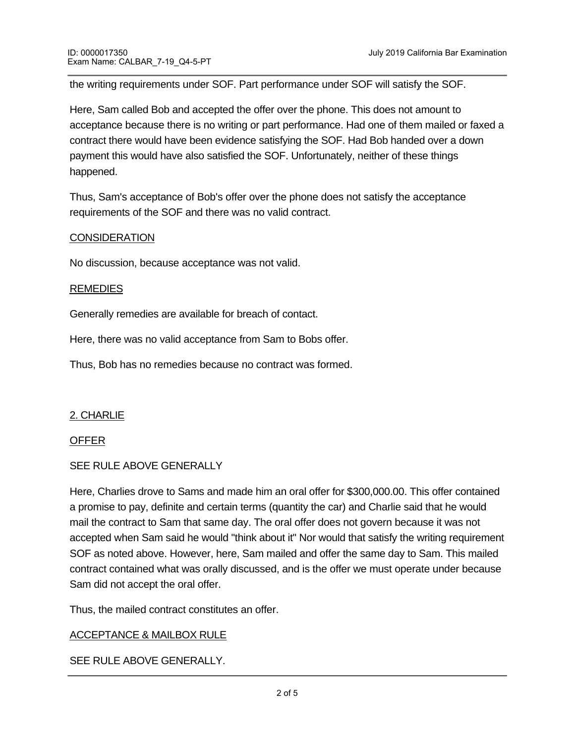the writing requirements under SOF. Part performance under SOF will satisfy the SOF.

Here, Sam called Bob and accepted the offer over the phone. This does not amount to acceptance because there is no writing or part performance. Had one of them mailed or faxed a contract there would have been evidence satisfying the SOF. Had Bob handed over a down payment this would have also satisfied the SOF. Unfortunately, neither of these things happened.

Thus, Sam's acceptance of Bob's offer over the phone does not satisfy the acceptance requirements of the SOF and there was no valid contract.

### **CONSIDERATION**

No discussion, because acceptance was not valid.

#### REMEDIES

Generally remedies are available for breach of contact.

Here, there was no valid acceptance from Sam to Bobs offer.

Thus, Bob has no remedies because no contract was formed.

### 2. CHARLIE

#### OFFER

### SEE RULE ABOVE GENERALLY

Here, Charlies drove to Sams and made him an oral offer for \$300,000.00. This offer contained a promise to pay, definite and certain terms (quantity the car) and Charlie said that he would mail the contract to Sam that same day. The oral offer does not govern because it was not accepted when Sam said he would "think about it" Nor would that satisfy the writing requirement SOF as noted above. However, here, Sam mailed and offer the same day to Sam. This mailed contract contained what was orally discussed, and is the offer we must operate under because Sam did not accept the oral offer.

Thus, the mailed contract constitutes an offer.

### ACCEPTANCE & MAILBOX RULE

SEE RULE ABOVE GENERALLY.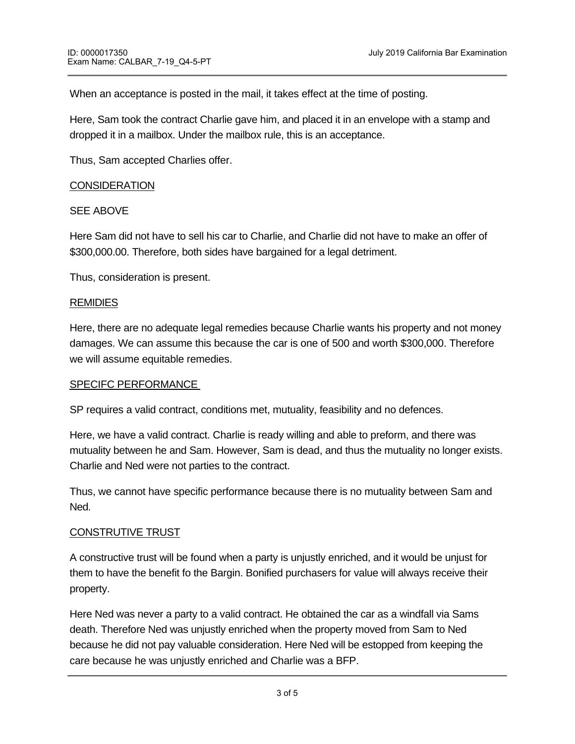When an acceptance is posted in the mail, it takes effect at the time of posting.

Here, Sam took the contract Charlie gave him, and placed it in an envelope with a stamp and dropped it in a mailbox. Under the mailbox rule, this is an acceptance.

Thus, Sam accepted Charlies offer.

### **CONSIDERATION**

### SEE ABOVE

Here Sam did not have to sell his car to Charlie, and Charlie did not have to make an offer of \$300,000.00. Therefore, both sides have bargained for a legal detriment.

Thus, consideration is present.

#### REMIDIES

Here, there are no adequate legal remedies because Charlie wants his property and not money damages. We can assume this because the car is one of 500 and worth \$300,000. Therefore we will assume equitable remedies.

#### SPECIFC PERFORMANCE

SP requires a valid contract, conditions met, mutuality, feasibility and no defences.

Here, we have a valid contract. Charlie is ready willing and able to preform, and there was mutuality between he and Sam. However, Sam is dead, and thus the mutuality no longer exists. Charlie and Ned were not parties to the contract.

Thus, we cannot have specific performance because there is no mutuality between Sam and Ned.

#### CONSTRUTIVE TRUST

A constructive trust will be found when a party is unjustly enriched, and it would be unjust for them to have the benefit fo the Bargin. Bonified purchasers for value will always receive their property.

Here Ned was never a party to a valid contract. He obtained the car as a windfall via Sams death. Therefore Ned was unjustly enriched when the property moved from Sam to Ned because he did not pay valuable consideration. Here Ned will be estopped from keeping the care because he was unjustly enriched and Charlie was a BFP.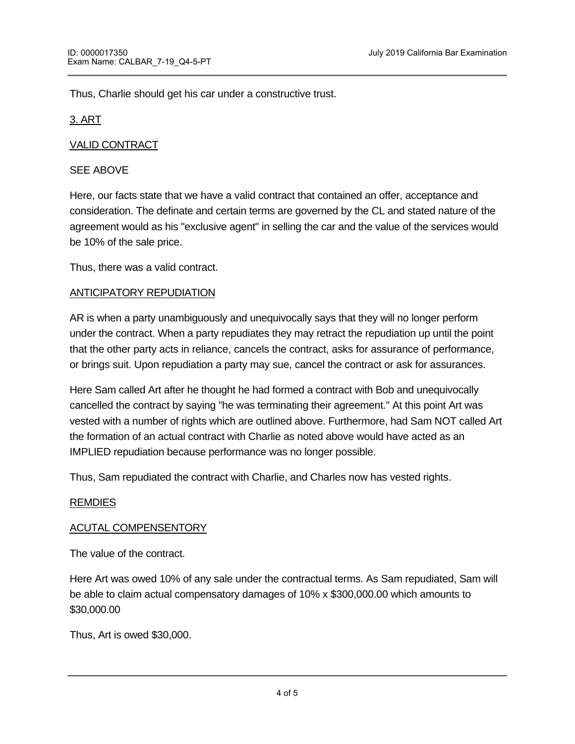Thus, Charlie should get his car under a constructive trust.

## 3. ART

# VALID CONTRACT

## SEE ABOVE

Here, our facts state that we have a valid contract that contained an offer, acceptance and consideration. The definate and certain terms are governed by the CL and stated nature of the agreement would as his "exclusive agent" in selling the car and the value of the services would be 10% of the sale price.

Thus, there was a valid contract.

### ANTICIPATORY REPUDIATION

AR is when a party unambiguously and unequivocally says that they will no longer perform under the contract. When a party repudiates they may retract the repudiation up until the point that the other party acts in reliance, cancels the contract, asks for assurance of performance, or brings suit. Upon repudiation a party may sue, cancel the contract or ask for assurances.

Here Sam called Art after he thought he had formed a contract with Bob and unequivocally cancelled the contract by saying "he was terminating their agreement." At this point Art was vested with a number of rights which are outlined above. Furthermore, had Sam NOT called Art the formation of an actual contract with Charlie as noted above would have acted as an IMPLIED repudiation because performance was no longer possible.

Thus, Sam repudiated the contract with Charlie, and Charles now has vested rights.

### REMDIES

### ACUTAL COMPENSENTORY

The value of the contract.

Here Art was owed 10% of any sale under the contractual terms. As Sam repudiated, Sam will be able to claim actual compensatory damages of 10% x \$300,000.00 which amounts to \$30,000.00

Thus, Art is owed \$30,000.